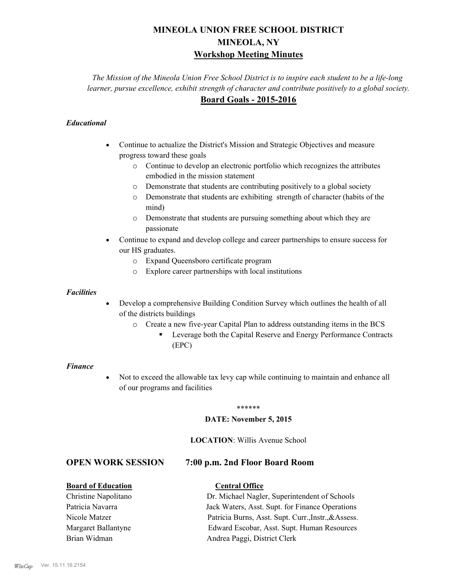# **MINEOLA UNION FREE SCHOOL DISTRICT MINEOLA, NY Workshop Meeting Minutes**

*The Mission of the Mineola Union Free School District is to inspire each student to be a life-long learner, pursue excellence, exhibit strength of character and contribute positively to a global society.* **Board Goals - 2015-2016**

# *Educational*

- · Continue to actualize the District's Mission and Strategic Objectives and measure progress toward these goals
	- o Continue to develop an electronic portfolio which recognizes the attributes embodied in the mission statement
	- o Demonstrate that students are contributing positively to a global society
	- o Demonstrate that students are exhibiting strength of character (habits of the mind)
	- o Demonstrate that students are pursuing something about which they are passionate
- Continue to expand and develop college and career partnerships to ensure success for our HS graduates.
	- o Expand Queensboro certificate program
	- o Explore career partnerships with local institutions

## *Facilities*

- Develop a comprehensive Building Condition Survey which outlines the health of all of the districts buildings
	- o Create a new five-year Capital Plan to address outstanding items in the BCS
		- § Leverage both the Capital Reserve and Energy Performance Contracts (EPC)

#### *Finance*

• Not to exceed the allowable tax levy cap while continuing to maintain and enhance all of our programs and facilities

#### \*\*\*\*\*\*

#### **DATE: November 5, 2015**

### **LOCATION**: Willis Avenue School

# **OPEN WORK SESSION 7:00 p.m. 2nd Floor Board Room**

# **Board of Education Central Office**

Christine Napolitano Dr. Michael Nagler, Superintendent of Schools Patricia Navarra Jack Waters, Asst. Supt. for Finance Operations Nicole Matzer Patricia Burns, Asst. Supt. Curr.,Instr.,&Assess. Margaret Ballantyne Edward Escobar, Asst. Supt. Human Resources Brian Widman **Andrea Paggi, District Clerk**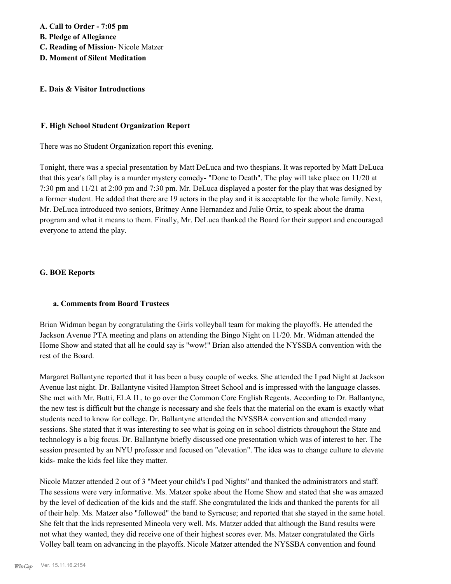## **E. Dais & Visitor Introductions**

### **F. High School Student Organization Report**

There was no Student Organization report this evening.

Tonight, there was a special presentation by Matt DeLuca and two thespians. It was reported by Matt DeLuca that this year's fall play is a murder mystery comedy- "Done to Death". The play will take place on 11/20 at 7:30 pm and 11/21 at 2:00 pm and 7:30 pm. Mr. DeLuca displayed a poster for the play that was designed by a former student. He added that there are 19 actors in the play and it is acceptable for the whole family. Next, Mr. DeLuca introduced two seniors, Britney Anne Hernandez and Julie Ortiz, to speak about the drama program and what it means to them. Finally, Mr. DeLuca thanked the Board for their support and encouraged everyone to attend the play.

## **G. BOE Reports**

#### **a. Comments from Board Trustees**

Brian Widman began by congratulating the Girls volleyball team for making the playoffs. He attended the Jackson Avenue PTA meeting and plans on attending the Bingo Night on 11/20. Mr. Widman attended the Home Show and stated that all he could say is "wow!" Brian also attended the NYSSBA convention with the rest of the Board.

Margaret Ballantyne reported that it has been a busy couple of weeks. She attended the I pad Night at Jackson Avenue last night. Dr. Ballantyne visited Hampton Street School and is impressed with the language classes. She met with Mr. Butti, ELA IL, to go over the Common Core English Regents. According to Dr. Ballantyne, the new test is difficult but the change is necessary and she feels that the material on the exam is exactly what students need to know for college. Dr. Ballantyne attended the NYSSBA convention and attended many sessions. She stated that it was interesting to see what is going on in school districts throughout the State and technology is a big focus. Dr. Ballantyne briefly discussed one presentation which was of interest to her. The session presented by an NYU professor and focused on "elevation". The idea was to change culture to elevate kids- make the kids feel like they matter.

Nicole Matzer attended 2 out of 3 "Meet your child's I pad Nights" and thanked the administrators and staff. The sessions were very informative. Ms. Matzer spoke about the Home Show and stated that she was amazed by the level of dedication of the kids and the staff. She congratulated the kids and thanked the parents for all of their help. Ms. Matzer also "followed" the band to Syracuse; and reported that she stayed in the same hotel. She felt that the kids represented Mineola very well. Ms. Matzer added that although the Band results were not what they wanted, they did receive one of their highest scores ever. Ms. Matzer congratulated the Girls Volley ball team on advancing in the playoffs. Nicole Matzer attended the NYSSBA convention and found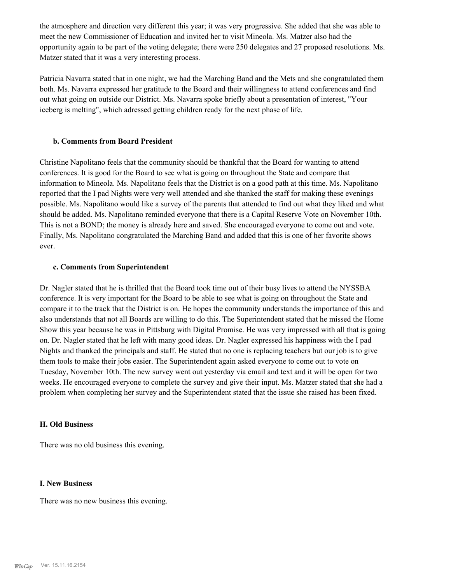the atmosphere and direction very different this year; it was very progressive. She added that she was able to meet the new Commissioner of Education and invited her to visit Mineola. Ms. Matzer also had the opportunity again to be part of the voting delegate; there were 250 delegates and 27 proposed resolutions. Ms. Matzer stated that it was a very interesting process.

Patricia Navarra stated that in one night, we had the Marching Band and the Mets and she congratulated them both. Ms. Navarra expressed her gratitude to the Board and their willingness to attend conferences and find out what going on outside our District. Ms. Navarra spoke briefly about a presentation of interest, "Your iceberg is melting", which adressed getting children ready for the next phase of life.

#### **b. Comments from Board President**

Christine Napolitano feels that the community should be thankful that the Board for wanting to attend conferences. It is good for the Board to see what is going on throughout the State and compare that information to Mineola. Ms. Napolitano feels that the District is on a good path at this time. Ms. Napolitano reported that the I pad Nights were very well attended and she thanked the staff for making these evenings possible. Ms. Napolitano would like a survey of the parents that attended to find out what they liked and what should be added. Ms. Napolitano reminded everyone that there is a Capital Reserve Vote on November 10th. This is not a BOND; the money is already here and saved. She encouraged everyone to come out and vote. Finally, Ms. Napolitano congratulated the Marching Band and added that this is one of her favorite shows ever.

#### **c. Comments from Superintendent**

Dr. Nagler stated that he is thrilled that the Board took time out of their busy lives to attend the NYSSBA conference. It is very important for the Board to be able to see what is going on throughout the State and compare it to the track that the District is on. He hopes the community understands the importance of this and also understands that not all Boards are willing to do this. The Superintendent stated that he missed the Home Show this year because he was in Pittsburg with Digital Promise. He was very impressed with all that is going on. Dr. Nagler stated that he left with many good ideas. Dr. Nagler expressed his happiness with the I pad Nights and thanked the principals and staff. He stated that no one is replacing teachers but our job is to give them tools to make their jobs easier. The Superintendent again asked everyone to come out to vote on Tuesday, November 10th. The new survey went out yesterday via email and text and it will be open for two weeks. He encouraged everyone to complete the survey and give their input. Ms. Matzer stated that she had a problem when completing her survey and the Superintendent stated that the issue she raised has been fixed.

#### **H. Old Business**

There was no old business this evening.

#### **I. New Business**

There was no new business this evening.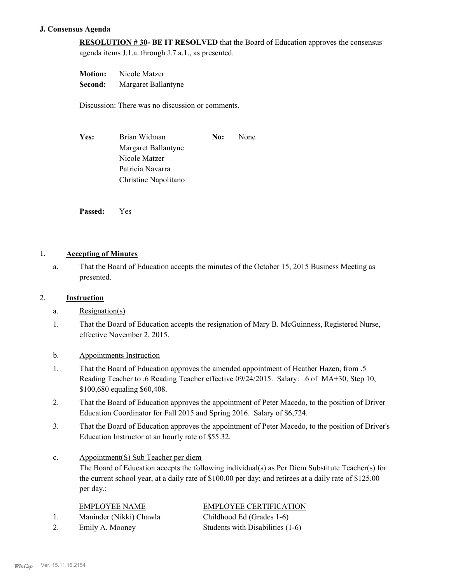# **J. Consensus Agenda**

**RESOLUTION # 30- BE IT RESOLVED** that the Board of Education approves the consensus agenda items J.1.a. through J.7.a.1., as presented.

**Motion:** Nicole Matzer **Second:** Margaret Ballantyne

Discussion: There was no discussion or comments.

| Yes: | Brian Widman         | No: | None |
|------|----------------------|-----|------|
|      | Margaret Ballantyne  |     |      |
|      | Nicole Matzer        |     |      |
|      | Patricia Navarra     |     |      |
|      | Christine Napolitano |     |      |

**Passed:** Yes

# 1. **Accepting of Minutes**

That the Board of Education accepts the minutes of the October 15, 2015 Business Meeting as presented. a.

# 2. **Instruction**

- a. Resignation(s)
- That the Board of Education accepts the resignation of Mary B. McGuinness, Registered Nurse, effective November 2, 2015. 1.
- b. Appointments Instruction
- That the Board of Education approves the amended appointment of Heather Hazen, from .5 Reading Teacher to .6 Reading Teacher effective 09/24/2015. Salary: .6 of MA+30, Step 10, \$100,680 equaling \$60,408. 1.
- That the Board of Education approves the appointment of Peter Macedo, to the position of Driver Education Coordinator for Fall 2015 and Spring 2016. Salary of \$6,724. 2.
- That the Board of Education approves the appointment of Peter Macedo, to the position of Driver's Education Instructor at an hourly rate of \$55.32. 3.
- Appointment(S) Sub Teacher per diem The Board of Education accepts the following individual(s) as Per Diem Substitute Teacher(s) for the current school year, at a daily rate of \$100.00 per day; and retirees at a daily rate of \$125.00 per day.: c.

|    | <b>EMPLOYEE NAME</b>    | <b>EMPLOYEE CERTIFICATION</b>    |
|----|-------------------------|----------------------------------|
|    | Maninder (Nikki) Chawla | Childhood Ed (Grades 1-6)        |
| 2. | Emily A. Mooney         | Students with Disabilities (1-6) |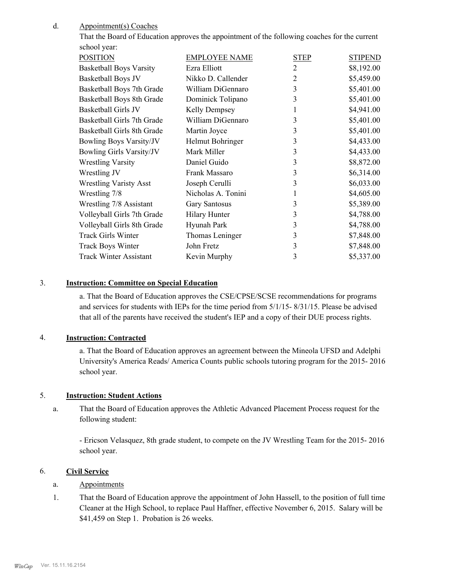#### Appointment(s) Coaches d.

That the Board of Education approves the appointment of the following coaches for the current school year:

| <b>POSITION</b>                 | <b>EMPLOYEE NAME</b> | <b>STEP</b>    | <b>STIPEND</b> |
|---------------------------------|----------------------|----------------|----------------|
| <b>Basketball Boys Varsity</b>  | Ezra Elliott         | 2              | \$8,192.00     |
| Basketball Boys JV              | Nikko D. Callender   | $\overline{2}$ | \$5,459.00     |
| Basketball Boys 7th Grade       | William DiGennaro    | 3              | \$5,401.00     |
| Basketball Boys 8th Grade       | Dominick Tolipano    | 3              | \$5,401.00     |
| Basketball Girls JV             | Kelly Dempsey        |                | \$4,941.00     |
| Basketball Girls 7th Grade      | William DiGennaro    | 3              | \$5,401.00     |
| Basketball Girls 8th Grade      | Martin Joyce         | 3              | \$5,401.00     |
| <b>Bowling Boys Varsity/JV</b>  | Helmut Bohringer     | 3              | \$4,433.00     |
| <b>Bowling Girls Varsity/JV</b> | Mark Miller          | 3              | \$4,433.00     |
| <b>Wrestling Varsity</b>        | Daniel Guido         | 3              | \$8,872.00     |
| Wrestling JV                    | Frank Massaro        | 3              | \$6,314.00     |
| <b>Wrestling Varisty Asst</b>   | Joseph Cerulli       | 3              | \$6,033.00     |
| Wrestling 7/8                   | Nicholas A. Tonini   | 1              | \$4,605.00     |
| Wrestling 7/8 Assistant         | <b>Gary Santosus</b> | 3              | \$5,389.00     |
| Volleyball Girls 7th Grade      | <b>Hilary Hunter</b> | 3              | \$4,788.00     |
| Volleyball Girls 8th Grade      | Hyunah Park          | 3              | \$4,788.00     |
| <b>Track Girls Winter</b>       | Thomas Leninger      | 3              | \$7,848.00     |
| <b>Track Boys Winter</b>        | John Fretz           | 3              | \$7,848.00     |
| <b>Track Winter Assistant</b>   | Kevin Murphy         | 3              | \$5,337.00     |
|                                 |                      |                |                |

# 3. **Instruction: Committee on Special Education**

a. That the Board of Education approves the CSE/CPSE/SCSE recommendations for programs and services for students with IEPs for the time period from 5/1/15- 8/31/15. Please be advised that all of the parents have received the student's IEP and a copy of their DUE process rights.

#### 4. **Instruction: Contracted**

a. That the Board of Education approves an agreement between the Mineola UFSD and Adelphi University's America Reads/ America Counts public schools tutoring program for the 2015- 2016 school year.

# 5. **Instruction: Student Actions**

That the Board of Education approves the Athletic Advanced Placement Process request for the following student: a.

- Ericson Velasquez, 8th grade student, to compete on the JV Wrestling Team for the 2015- 2016 school year.

## 6. **Civil Service**

#### a. Appointments

That the Board of Education approve the appointment of John Hassell, to the position of full time Cleaner at the High School, to replace Paul Haffner, effective November 6, 2015. Salary will be \$41,459 on Step 1. Probation is 26 weeks. 1.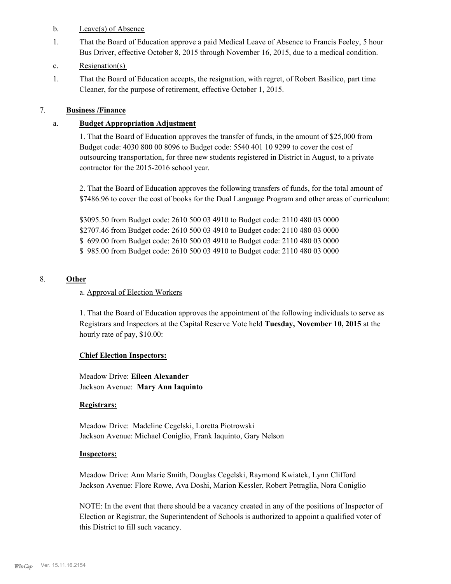- b. Leave(s) of Absence
- That the Board of Education approve a paid Medical Leave of Absence to Francis Feeley, 5 hour Bus Driver, effective October 8, 2015 through November 16, 2015, due to a medical condition. 1.
- c. Resignation(s)
- That the Board of Education accepts, the resignation, with regret, of Robert Basilico, part time Cleaner, for the purpose of retirement, effective October 1, 2015. 1.

# 7. **Business /Finance**

# a. **Budget Appropriation Adjustment**

1. That the Board of Education approves the transfer of funds, in the amount of \$25,000 from Budget code: 4030 800 00 8096 to Budget code: 5540 401 10 9299 to cover the cost of outsourcing transportation, for three new students registered in District in August, to a private contractor for the 2015-2016 school year.

2. That the Board of Education approves the following transfers of funds, for the total amount of \$7486.96 to cover the cost of books for the Dual Language Program and other areas of curriculum:

\$3095.50 from Budget code: 2610 500 03 4910 to Budget code: 2110 480 03 0000 \$2707.46 from Budget code: 2610 500 03 4910 to Budget code: 2110 480 03 0000 \$ 699.00 from Budget code: 2610 500 03 4910 to Budget code: 2110 480 03 0000 \$ 985.00 from Budget code: 2610 500 03 4910 to Budget code: 2110 480 03 0000

# 8. **Other**

# a. Approval of Election Workers

1. That the Board of Education approves the appointment of the following individuals to serve as Registrars and Inspectors at the Capital Reserve Vote held **Tuesday, November 10, 2015** at the hourly rate of pay, \$10.00:

# **Chief Election Inspectors:**

Meadow Drive: **Eileen Alexander**  Jackson Avenue: **Mary Ann Iaquinto**

# **Registrars:**

Meadow Drive: Madeline Cegelski, Loretta Piotrowski Jackson Avenue: Michael Coniglio, Frank Iaquinto, Gary Nelson

# **Inspectors:**

Meadow Drive: Ann Marie Smith, Douglas Cegelski, Raymond Kwiatek, Lynn Clifford Jackson Avenue: Flore Rowe, Ava Doshi, Marion Kessler, Robert Petraglia, Nora Coniglio

NOTE: In the event that there should be a vacancy created in any of the positions of Inspector of Election or Registrar, the Superintendent of Schools is authorized to appoint a qualified voter of this District to fill such vacancy.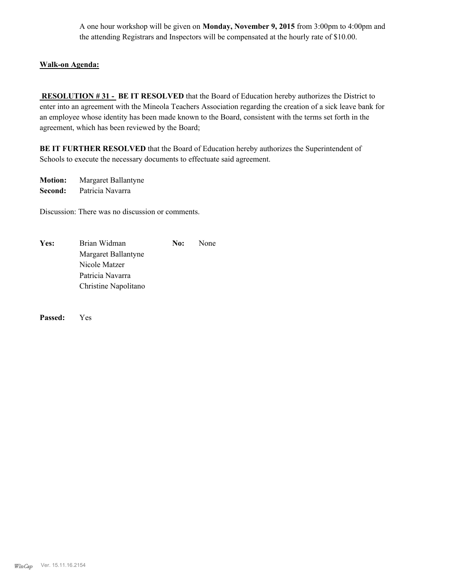A one hour workshop will be given on **Monday, November 9, 2015** from 3:00pm to 4:00pm and the attending Registrars and Inspectors will be compensated at the hourly rate of \$10.00.

# **Walk-on Agenda:**

 **RESOLUTION # 31 - BE IT RESOLVED** that the Board of Education hereby authorizes the District to enter into an agreement with the Mineola Teachers Association regarding the creation of a sick leave bank for an employee whose identity has been made known to the Board, consistent with the terms set forth in the agreement, which has been reviewed by the Board;

**BE IT FURTHER RESOLVED** that the Board of Education hereby authorizes the Superintendent of Schools to execute the necessary documents to effectuate said agreement.

**Motion:** Margaret Ballantyne **Second:** Patricia Navarra

Discussion: There was no discussion or comments.

| Yes: | Brian Widman         | No: | None |
|------|----------------------|-----|------|
|      | Margaret Ballantyne  |     |      |
|      | Nicole Matzer        |     |      |
|      | Patricia Navarra     |     |      |
|      | Christine Napolitano |     |      |

**Passed:** Yes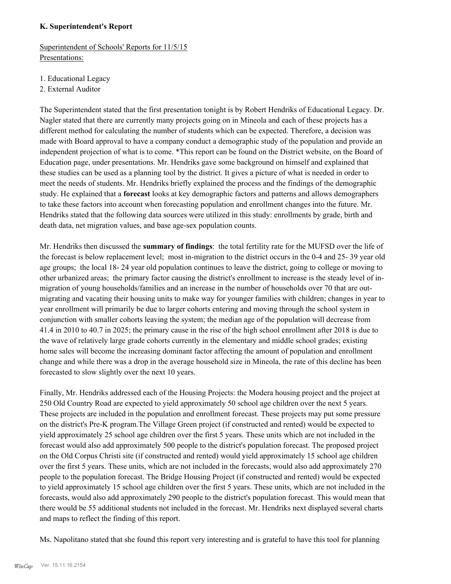# **K. Superintendent's Report**

Superintendent of Schools' Reports for 11/5/15 Presentations:

- 1. Educational Legacy
- 2. External Auditor

The Superintendent stated that the first presentation tonight is by Robert Hendriks of Educational Legacy. Dr. Nagler stated that there are currently many projects going on in Mineola and each of these projects has a different method for calculating the number of students which can be expected. Therefore, a decision was made with Board approval to have a company conduct a demographic study of the population and provide an independent projection of what is to come. \*This report can be found on the District website, on the Board of Education page, under presentations. Mr. Hendriks gave some background on himself and explained that these studies can be used as a planning tool by the district. It gives a picture of what is needed in order to meet the needs of students. Mr. Hendriks briefly explained the process and the findings of the demographic study. He explained that a **forecast** looks at key demographic factors and patterns and allows demographers to take these factors into account when forecasting population and enrollment changes into the future. Mr. Hendriks stated that the following data sources were utilized in this study: enrollments by grade, birth and death data, net migration values, and base age-sex population counts.

Mr. Hendriks then discussed the **summary of findings**: the total fertility rate for the MUFSD over the life of the forecast is below replacement level; most in-migration to the district occurs in the 0-4 and 25- 39 year old age groups; the local 18- 24 year old population continues to leave the district, going to college or moving to other urbanized areas; the primary factor causing the district's enrollment to increase is the steady level of inmigration of young households/families and an increase in the number of households over 70 that are outmigrating and vacating their housing units to make way for younger families with children; changes in year to year enrollment will primarily be due to larger cohorts entering and moving through the school system in conjunction with smaller cohorts leaving the system; the median age of the population will decrease from 41.4 in 2010 to 40.7 in 2025; the primary cause in the rise of the high school enrollment after 2018 is due to the wave of relatively large grade cohorts currently in the elementary and middle school grades; existing home sales will become the increasing dominant factor affecting the amount of population and enrollment change and while there was a drop in the average household size in Mineola, the rate of this decline has been forecasted to slow slightly over the next 10 years.

Finally, Mr. Hendriks addressed each of the Housing Projects: the Modera housing project and the project at 250 Old Country Road are expected to yield approximately 50 school age children over the next 5 years. These projects are included in the population and enrollment forecast. These projects may put some pressure on the district's Pre-K program.The Village Green project (if constructed and rented) would be expected to yield approximately 25 school age children over the first 5 years. These units which are not included in the forecast would also add approximately 500 people to the district's population forecast. The proposed project on the Old Corpus Christi site (if constructed and rented) would yield approximately 15 school age children over the first 5 years. These units, which are not included in the forecasts, would also add approximately 270 people to the population forecast. The Bridge Housing Project (if constructed and rented) would be expected to yield approximately 15 school age children over the first 5 years. These units, which are not included in the forecasts, would also add approximately 290 people to the district's population forecast. This would mean that there would be 55 additional students not included in the forecast. Mr. Hendriks next displayed several charts and maps to reflect the finding of this report.

Ms. Napolitano stated that she found this report very interesting and is grateful to have this tool for planning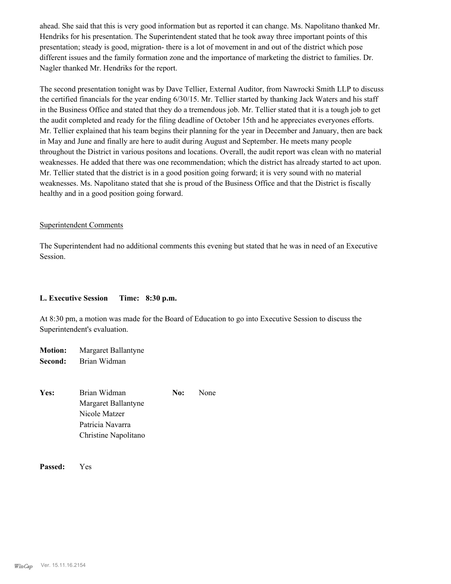ahead. She said that this is very good information but as reported it can change. Ms. Napolitano thanked Mr. Hendriks for his presentation. The Superintendent stated that he took away three important points of this presentation; steady is good, migration- there is a lot of movement in and out of the district which pose different issues and the family formation zone and the importance of marketing the district to families. Dr. Nagler thanked Mr. Hendriks for the report.

The second presentation tonight was by Dave Tellier, External Auditor, from Nawrocki Smith LLP to discuss the certified financials for the year ending 6/30/15. Mr. Tellier started by thanking Jack Waters and his staff in the Business Office and stated that they do a tremendous job. Mr. Tellier stated that it is a tough job to get the audit completed and ready for the filing deadline of October 15th and he appreciates everyones efforts. Mr. Tellier explained that his team begins their planning for the year in December and January, then are back in May and June and finally are here to audit during August and September. He meets many people throughout the District in various positons and locations. Overall, the audit report was clean with no material weaknesses. He added that there was one recommendation; which the district has already started to act upon. Mr. Tellier stated that the district is in a good position going forward; it is very sound with no material weaknesses. Ms. Napolitano stated that she is proud of the Business Office and that the District is fiscally healthy and in a good position going forward.

#### Superintendent Comments

The Superintendent had no additional comments this evening but stated that he was in need of an Executive Session.

#### **L. Executive Session Time: 8:30 p.m.**

At 8:30 pm, a motion was made for the Board of Education to go into Executive Session to discuss the Superintendent's evaluation.

**Motion:** Margaret Ballantyne **Second:** Brian Widman

Yes: Brian Widman **No:** None Margaret Ballantyne Nicole Matzer Patricia Navarra Christine Napolitano

**Passed:** Yes